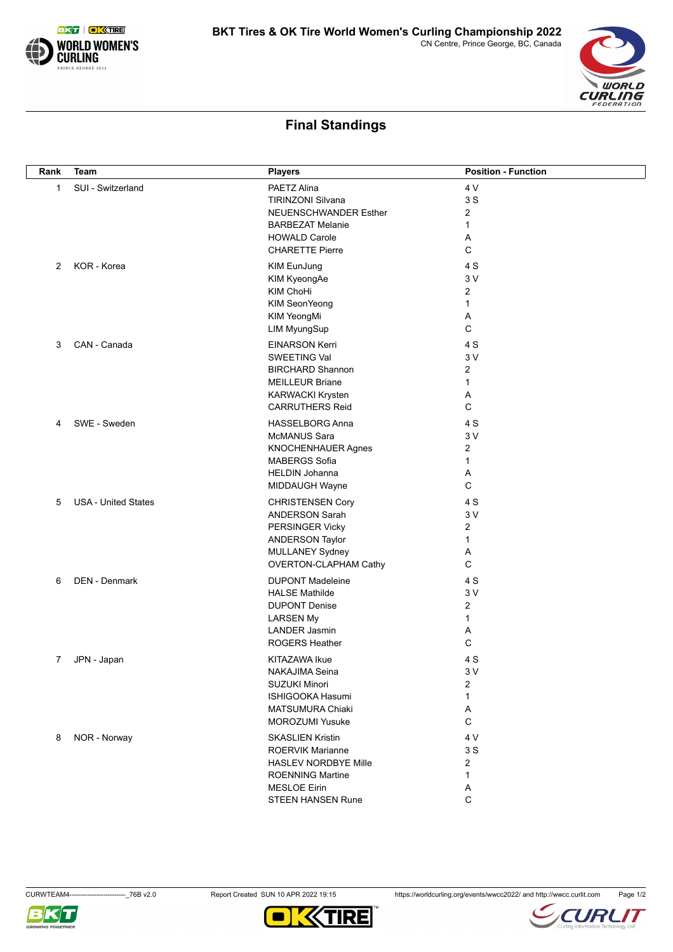

## **Final Standings**

| Rank         | Team                       | <b>Players</b>              | <b>Position - Function</b> |
|--------------|----------------------------|-----------------------------|----------------------------|
| $\mathbf{1}$ | SUI - Switzerland          | PAETZ Alina                 | 4 V                        |
|              |                            | <b>TIRINZONI Silvana</b>    | 3S                         |
|              |                            | NEUENSCHWANDER Esther       | 2                          |
|              |                            | <b>BARBEZAT Melanie</b>     | $\mathbf{1}$               |
|              |                            | <b>HOWALD Carole</b>        | Α                          |
|              |                            | <b>CHARETTE Pierre</b>      | C                          |
|              | KOR - Korea                |                             | 4 S                        |
| 2            |                            | KIM EunJung                 |                            |
|              |                            | KIM KyeongAe                | 3V                         |
|              |                            | KIM ChoHi                   | $\overline{2}$             |
|              |                            | KIM SeonYeong               | 1                          |
|              |                            | KIM YeongMi                 | Α                          |
|              |                            | LIM MyungSup                | C                          |
| 3            | CAN - Canada               | <b>EINARSON Kerri</b>       | 4 S                        |
|              |                            | SWEETING Val                | 3V                         |
|              |                            | <b>BIRCHARD Shannon</b>     | $\overline{2}$             |
|              |                            | <b>MEILLEUR Briane</b>      | $\mathbf{1}$               |
|              |                            | <b>KARWACKI Krysten</b>     | Α                          |
|              |                            | <b>CARRUTHERS Reid</b>      | C                          |
| 4            | SWE - Sweden               | <b>HASSELBORG Anna</b>      | 4 S                        |
|              |                            | McMANUS Sara                | 3V                         |
|              |                            | KNOCHENHAUER Agnes          | 2                          |
|              |                            | <b>MABERGS Sofia</b>        | 1                          |
|              |                            | <b>HELDIN Johanna</b>       | Α                          |
|              |                            | MIDDAUGH Wayne              | C                          |
| 5            | <b>USA - United States</b> | <b>CHRISTENSEN Cory</b>     | 4 S                        |
|              |                            | <b>ANDERSON Sarah</b>       | 3V                         |
|              |                            | PERSINGER Vicky             | $\overline{2}$             |
|              |                            | <b>ANDERSON Taylor</b>      | 1                          |
|              |                            | MULLANEY Sydney             | Α                          |
|              |                            | OVERTON-CLAPHAM Cathy       | C                          |
|              |                            |                             |                            |
| 6            | <b>DEN - Denmark</b>       | <b>DUPONT Madeleine</b>     | 4 S                        |
|              |                            | <b>HALSE Mathilde</b>       | 3V                         |
|              |                            | <b>DUPONT Denise</b>        | $\overline{2}$             |
|              |                            | <b>LARSEN My</b>            | $\mathbf{1}$               |
|              |                            | <b>LANDER Jasmin</b>        | Α                          |
|              |                            | <b>ROGERS Heather</b>       | C                          |
| 7            | JPN - Japan                | KITAZAWA Ikue               | 4 S                        |
|              |                            | NAKAJIMA Seina              | $3\,\mathrm{V}$            |
|              |                            | <b>SUZUKI Minori</b>        | 2                          |
|              |                            | ISHIGOOKA Hasumi            | 1                          |
|              |                            | <b>MATSUMURA Chiaki</b>     | Α                          |
|              |                            | <b>MOROZUMI Yusuke</b>      | C                          |
| 8            | NOR - Norway               | <b>SKASLIEN Kristin</b>     | 4 V                        |
|              |                            | <b>ROERVIK Marianne</b>     | 3S                         |
|              |                            | <b>HASLEV NORDBYE Mille</b> | $\overline{c}$             |
|              |                            | <b>ROENNING Martine</b>     | 1                          |
|              |                            | <b>MESLOE Eirin</b>         | Α                          |
|              |                            | STEEN HANSEN Rune           | C                          |





**WORLD** CURLING